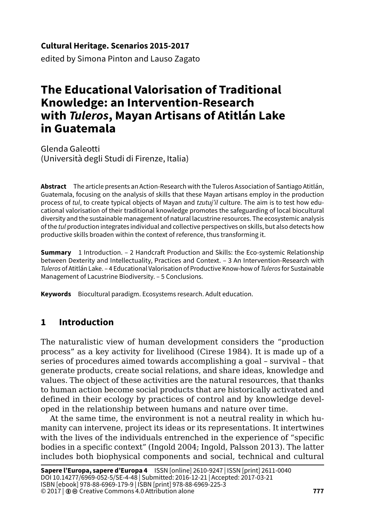#### **Cultural Heritage. Scenarios 2015-2017**

edited by Simona Pinton and Lauso Zagato

# **The Educational Valorisation of Traditional Knowledge: an Intervention-Research with** *Tuleros***, Mayan Artisans of Atitlán Lake in Guatemala**

Glenda Galeotti (Università degli Studi di Firenze, Italia)

**Abstract** The article presents an Action-Research with the Tuleros Association of Santiago Atitlán, Guatemala, focusing on the analysis of skills that these Mayan artisans employ in the production process of *tul*, to create typical objects of Mayan and *tzutuj'il* culture. The aim is to test how educational valorisation of their traditional knowledge promotes the safeguarding of local biocultural diversity and the sustainable management of natural lacustrine resources. The ecosystemic analysis of the *tul* production integrates individual and collective perspectives on skills, but also detects how productive skills broaden within the context of reference, thus transforming it.

**Summary** 1 Introduction. – 2 Handcraft Production and Skills: the Eco-systemic Relationship between Dexterity and Intellectuality, Practices and Context. – 3 An Intervention-Research with *Tuleros* of Atitlán Lake. – 4 Educational Valorisation of Productive Know-how of *Tuleros* for Sustainable Management of Lacustrine Biodiversity. – 5 Conclusions.

**Keywords** Biocultural paradigm. Ecosystems research. Adult education.

# **1 Introduction**

The naturalistic view of human development considers the "production process" as a key activity for livelihood (Cirese 1984). It is made up of a series of procedures aimed towards accomplishing a goal – survival – that generate products, create social relations, and share ideas, knowledge and values. The object of these activities are the natural resources, that thanks to human action become social products that are historically activated and defined in their ecology by practices of control and by knowledge developed in the relationship between humans and nature over time.

At the same time, the environment is not a neutral reality in which humanity can intervene, project its ideas or its representations. It intertwines with the lives of the individuals entrenched in the experience of "specific bodies in a specific context" (Ingold 2004; Ingold, Palsson 2013). The latter includes both biophysical components and social, technical and cultural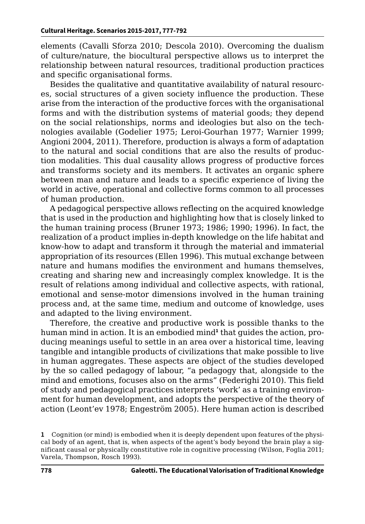elements (Cavalli Sforza 2010; Descola 2010). Overcoming the dualism of culture/nature, the biocultural perspective allows us to interpret the relationship between natural resources, traditional production practices and specific organisational forms.

Besides the qualitative and quantitative availability of natural resources, social structures of a given society influence the production. These arise from the interaction of the productive forces with the organisational forms and with the distribution systems of material goods; they depend on the social relationships, norms and ideologies but also on the technologies available (Godelier 1975; Leroi-Gourhan 1977; Warnier 1999; Angioni 2004, 2011). Therefore, production is always a form of adaptation to the natural and social conditions that are also the results of production modalities. This dual causality allows progress of productive forces and transforms society and its members. It activates an organic sphere between man and nature and leads to a specific experience of living the world in active, operational and collective forms common to all processes of human production.

A pedagogical perspective allows reflecting on the acquired knowledge that is used in the production and highlighting how that is closely linked to the human training process (Bruner 1973; 1986; 1990; 1996). In fact, the realization of a product implies in-depth knowledge on the life habitat and know-how to adapt and transform it through the material and immaterial appropriation of its resources (Ellen 1996). This mutual exchange between nature and humans modifies the environment and humans themselves, creating and sharing new and increasingly complex knowledge. It is the result of relations among individual and collective aspects, with rational, emotional and sense-motor dimensions involved in the human training process and, at the same time, medium and outcome of knowledge, uses and adapted to the living environment.

Therefore, the creative and productive work is possible thanks to the human mind in action. It is an embodied mind**<sup>1</sup>** that guides the action, producing meanings useful to settle in an area over a historical time, leaving tangible and intangible products of civilizations that make possible to live in human aggregates. These aspects are object of the studies developed by the so called pedagogy of labour, "a pedagogy that, alongside to the mind and emotions, focuses also on the arms" (Federighi 2010). This field of study and pedagogical practices interprets 'work' as a training environment for human development, and adopts the perspective of the theory of action (Leont'ev 1978; Engeström 2005). Here human action is described

**<sup>1</sup>** Cognition (or mind) is embodied when it is deeply dependent upon features of the physical body of an agent, that is, when aspects of the agent's body beyond the brain play a significant causal or physically constitutive role in cognitive processing (Wilson, Foglia 2011; Varela, Thompson, Rosch 1993).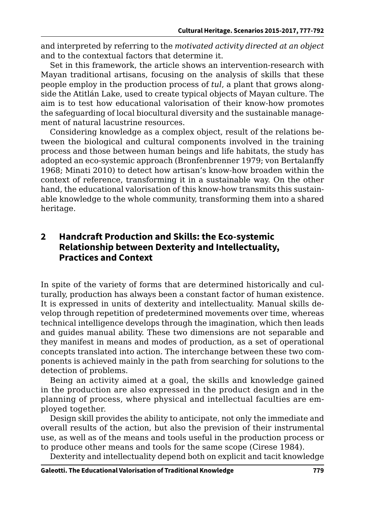and interpreted by referring to the *motivated activity directed at an object*  and to the contextual factors that determine it.

Set in this framework, the article shows an intervention-research with Mayan traditional artisans, focusing on the analysis of skills that these people employ in the production process of *tul*, a plant that grows alongside the Atitlán Lake, used to create typical objects of Mayan culture. The aim is to test how educational valorisation of their know-how promotes the safeguarding of local biocultural diversity and the sustainable management of natural lacustrine resources.

Considering knowledge as a complex object, result of the relations between the biological and cultural components involved in the training process and those between human beings and life habitats, the study has adopted an eco-systemic approach (Bronfenbrenner 1979; von Bertalanffy 1968; Minati 2010) to detect how artisan's know-how broaden within the context of reference, transforming it in a sustainable way. On the other hand, the educational valorisation of this know-how transmits this sustainable knowledge to the whole community, transforming them into a shared heritage.

#### **2 Handcraft Production and Skills: the Eco-systemic Relationship between Dexterity and Intellectuality, Practices and Context**

In spite of the variety of forms that are determined historically and culturally, production has always been a constant factor of human existence. It is expressed in units of dexterity and intellectuality. Manual skills develop through repetition of predetermined movements over time, whereas technical intelligence develops through the imagination, which then leads and guides manual ability. These two dimensions are not separable and they manifest in means and modes of production, as a set of operational concepts translated into action. The interchange between these two components is achieved mainly in the path from searching for solutions to the detection of problems.

Being an activity aimed at a goal, the skills and knowledge gained in the production are also expressed in the product design and in the planning of process, where physical and intellectual faculties are employed together.

Design skill provides the ability to anticipate, not only the immediate and overall results of the action, but also the prevision of their instrumental use, as well as of the means and tools useful in the production process or to produce other means and tools for the same scope (Cirese 1984).

Dexterity and intellectuality depend both on explicit and tacit knowledge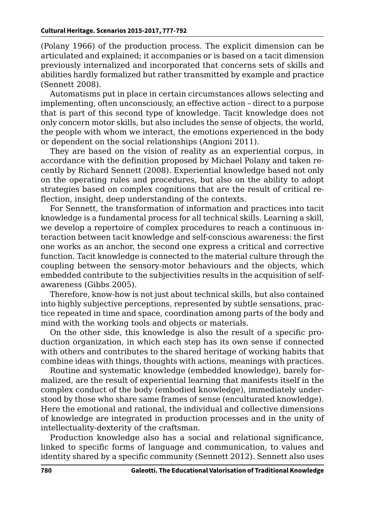(Polany 1966) of the production process. The explicit dimension can be articulated and explained; it accompanies or is based on a tacit dimension previously internalized and incorporated that concerns sets of skills and abilities hardly formalized but rather transmitted by example and practice (Sennett 2008).

Automatisms put in place in certain circumstances allows selecting and implementing, often unconsciously, an effective action – direct to a purpose that is part of this second type of knowledge. Tacit knowledge does not only concern motor skills, but also includes the sense of objects, the world, the people with whom we interact, the emotions experienced in the body or dependent on the social relationships (Angioni 2011).

They are based on the vision of reality as an experiential corpus, in accordance with the definition proposed by Michael Polany and taken recently by Richard Sennett (2008). Experiential knowledge based not only on the operating rules and procedures, but also on the ability to adopt strategies based on complex cognitions that are the result of critical reflection, insight, deep understanding of the contexts.

For Sennett, the transformation of information and practices into tacit knowledge is a fundamental process for all technical skills. Learning a skill, we develop a repertoire of complex procedures to reach a continuous interaction between tacit knowledge and self-conscious awareness: the first one works as an anchor, the second one express a critical and corrective function. Tacit knowledge is connected to the material culture through the coupling between the sensory-motor behaviours and the objects, which embedded contribute to the subjectivities results in the acquisition of selfawareness (Gibbs 2005).

Therefore, know-how is not just about technical skills, but also contained into highly subjective perceptions, represented by subtle sensations, practice repeated in time and space, coordination among parts of the body and mind with the working tools and objects or materials.

On the other side, this knowledge is also the result of a specific production organization, in which each step has its own sense if connected with others and contributes to the shared heritage of working habits that combine ideas with things, thoughts with actions, meanings with practices.

Routine and systematic knowledge (embedded knowledge), barely formalized, are the result of experiential learning that manifests itself in the complex conduct of the body (embodied knowledge), immediately understood by those who share same frames of sense (enculturated knowledge). Here the emotional and rational, the individual and collective dimensions of knowledge are integrated in production processes and in the unity of intellectuality-dexterity of the craftsman.

Production knowledge also has a social and relational significance, linked to specific forms of language and communication, to values and identity shared by a specific community (Sennett 2012). Sennett also uses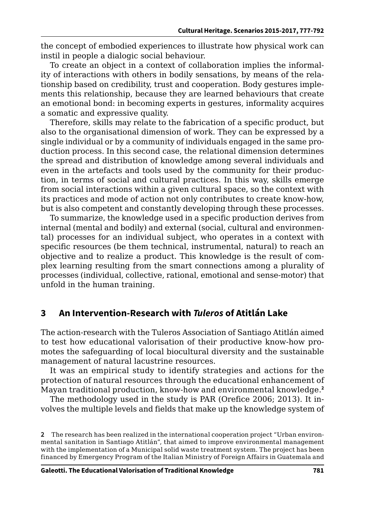the concept of embodied experiences to illustrate how physical work can instil in people a dialogic social behaviour.

To create an object in a context of collaboration implies the informality of interactions with others in bodily sensations, by means of the relationship based on credibility, trust and cooperation. Body gestures implements this relationship, because they are learned behaviours that create an emotional bond: in becoming experts in gestures, informality acquires a somatic and expressive quality.

Therefore, skills may relate to the fabrication of a specific product, but also to the organisational dimension of work. They can be expressed by a single individual or by a community of individuals engaged in the same production process. In this second case, the relational dimension determines the spread and distribution of knowledge among several individuals and even in the artefacts and tools used by the community for their production, in terms of social and cultural practices. In this way, skills emerge from social interactions within a given cultural space, so the context with its practices and mode of action not only contributes to create know-how, but is also competent and constantly developing through these processes.

To summarize, the knowledge used in a specific production derives from internal (mental and bodily) and external (social, cultural and environmental) processes for an individual subject, who operates in a context with specific resources (be them technical, instrumental, natural) to reach an objective and to realize a product. This knowledge is the result of complex learning resulting from the smart connections among a plurality of processes (individual, collective, rational, emotional and sense-motor) that unfold in the human training.

### **3 An Intervention-Research with** *Tuleros* **of Atitlán Lake**

The action-research with the Tuleros Association of Santiago Atitlán aimed to test how educational valorisation of their productive know-how promotes the safeguarding of local biocultural diversity and the sustainable management of natural lacustrine resources.

It was an empirical study to identify strategies and actions for the protection of natural resources through the educational enhancement of Mayan traditional production, know-how and environmental knowledge.**<sup>2</sup>**

The methodology used in the study is PAR (Orefice 2006; 2013). It involves the multiple levels and fields that make up the knowledge system of

**<sup>2</sup>** The research has been realized in the international cooperation project "Urban environmental sanitation in Santiago Atitlán", that aimed to improve environmental management with the implementation of a Municipal solid waste treatment system. The project has been financed by Emergency Program of the Italian Ministry of Foreign Affairs in Guatemala and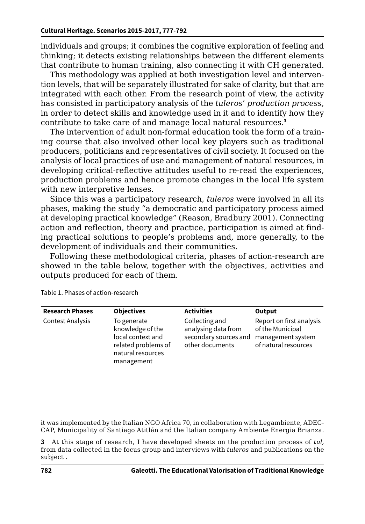individuals and groups; it combines the cognitive exploration of feeling and thinking; it detects existing relationships between the different elements that contribute to human training, also connecting it with CH generated.

This methodology was applied at both investigation level and intervention levels, that will be separately illustrated for sake of clarity, but that are integrated with each other. From the research point of view, the activity has consisted in participatory analysis of the *tuleros*' *production process*, in order to detect skills and knowledge used in it and to identify how they contribute to take care of and manage local natural resources.**<sup>3</sup>**

The intervention of adult non-formal education took the form of a training course that also involved other local key players such as traditional producers, politicians and representatives of civil society. It focused on the analysis of local practices of use and management of natural resources, in developing critical-reflective attitudes useful to re-read the experiences, production problems and hence promote changes in the local life system with new interpretive lenses.

Since this was a participatory research, *tuleros* were involved in all its phases, making the study "a democratic and participatory process aimed at developing practical knowledge" (Reason, Bradbury 2001). Connecting action and reflection, theory and practice, participation is aimed at finding practical solutions to people's problems and, more generally, to the development of individuals and their communities.

Following these methodological criteria, phases of action-research are showed in the table below, together with the objectives, activities and outputs produced for each of them.

| <b>Research Phases</b>  | <b>Objectives</b>                                                                                              | <b>Activities</b>                                                                 | Output                                                                                    |
|-------------------------|----------------------------------------------------------------------------------------------------------------|-----------------------------------------------------------------------------------|-------------------------------------------------------------------------------------------|
| <b>Contest Analysis</b> | To generate<br>knowledge of the<br>local context and<br>related problems of<br>natural resources<br>management | Collecting and<br>analysing data from<br>secondary sources and<br>other documents | Report on first analysis<br>of the Municipal<br>management system<br>of natural resources |
|                         |                                                                                                                |                                                                                   |                                                                                           |

Table 1. Phases of action-research

it was implemented by the Italian NGO Africa 70, in collaboration with Legambiente, ADEC-CAP, Municipality of Santiago Atitlán and the Italian company Ambiente Energia Brianza.

**3** At this stage of research, I have developed sheets on the production process of *tul,* from data collected in the focus group and interviews with *tuleros* and publications on the subject .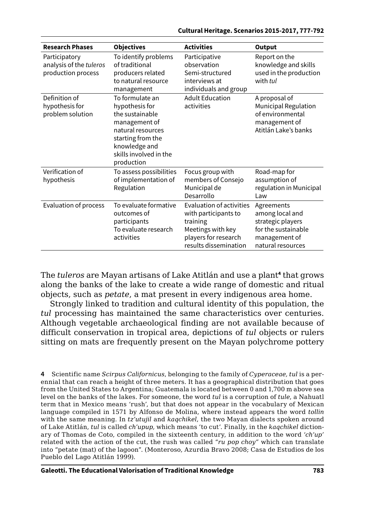| <b>Research Phases</b>                                         | <b>Objectives</b>                                                                                                                                                        | <b>Activities</b>                                                                                                                  | Output                                                                                                          |
|----------------------------------------------------------------|--------------------------------------------------------------------------------------------------------------------------------------------------------------------------|------------------------------------------------------------------------------------------------------------------------------------|-----------------------------------------------------------------------------------------------------------------|
| Participatory<br>analysis of the tuleros<br>production process | To identify problems<br>of traditional<br>producers related<br>to natural resource<br>management                                                                         | Participative<br>observation<br>Semi-structured<br>interviews at<br>individuals and group                                          | Report on the<br>knowledge and skills<br>used in the production<br>with tul                                     |
| Definition of<br>hypothesis for<br>problem solution            | To formulate an<br>hypothesis for<br>the sustainable<br>management of<br>natural resources<br>starting from the<br>knowledge and<br>skills involved in the<br>production | <b>Adult Education</b><br>activities                                                                                               | A proposal of<br>Municipal Regulation<br>of environmental<br>management of<br>Atitlán Lake's banks              |
| Verification of<br>hypothesis                                  | To assess possibilities<br>of implementation of<br>Regulation                                                                                                            | Focus group with<br>members of Consejo<br>Municipal de<br>Desarrollo                                                               | Road-map for<br>assumption of<br>regulation in Municipal<br>I aw                                                |
| Evaluation of process                                          | To evaluate formative<br>outcomes of<br>participants<br>To evaluate research<br>activities                                                                               | Evaluation of activities<br>with participants to<br>training<br>Meetings with key<br>players for research<br>results dissemination | Agreements<br>among local and<br>strategic players<br>for the sustainable<br>management of<br>natural resources |

The *tuleros* are Mayan artisans of Lake Atitlán and use a plant**<sup>4</sup>** that grows along the banks of the lake to create a wide range of domestic and ritual objects, such as *petate*, a mat present in every indigenous area home.

Strongly linked to tradition and cultural identity of this population, the *tul* processing has maintained the same characteristics over centuries. Although vegetable archaeological finding are not available because of difficult conservation in tropical area, depictions of *tul* objects or rulers sitting on mats are frequently present on the Mayan polychrome pottery

**4** Scientific name *Scirpus Californicus*, belonging to the family of *Cyperaceae, tul* is a perennial that can reach a height of three meters. It has a geographical distribution that goes from the United States to Argentina; Guatemala is located between 0 and 1,700 m above sea level on the banks of the lakes. For someone, the word *tul* is a corruption of *tule*, a Nahuatl term that in Mexico means 'rush', but that does not appear in the vocabulary of Mexican language compiled in 1571 by Alfonso de Molina, where instead appears the word *tollin*  with the same meaning. In *tz'utujil* and *kaqchikel*, the two Mayan dialects spoken around of Lake Atitlán, *tul* is called *ch'upup,* which means 'to cut'. Finally, in the *kaqchikel* dictionary of Thomas de Coto, compiled in the sixteenth century, in addition to the word '*ch'up'* related with the action of the cut, the rush was called "*ru pop choy"* which can translate into "petate (mat) of the lagoon". (Monteroso, Azurdia Bravo 2008; Casa de Estudios de los Pueblo del Lago Atitlán 1999).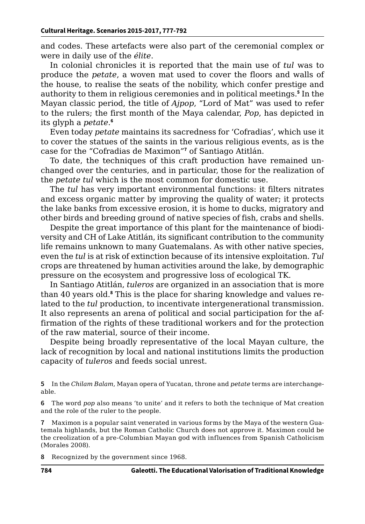and codes. These artefacts were also part of the ceremonial complex or were in daily use of the *élite*.

In colonial chronicles it is reported that the main use of *tul* was to produce the *petate*, a woven mat used to cover the floors and walls of the house, to realise the seats of the nobility, which confer prestige and authority to them in religious ceremonies and in political meetings.**<sup>5</sup>** In the Mayan classic period, the title of *Ajpop*, "Lord of Mat" was used to refer to the rulers; the first month of the Maya calendar, *Pop*, has depicted in its glyph a *petate*. **6**

Even today *petate* maintains its sacredness for 'Cofradias', which use it to cover the statues of the saints in the various religious events, as is the case for the "Cofradias de Maximon*"***<sup>7</sup>** of Santiago Atitlán.

To date, the techniques of this craft production have remained unchanged over the centuries, and in particular, those for the realization of the *petate tul* which is the most common for domestic use.

The *tul* has very important environmental functions: it filters nitrates and excess organic matter by improving the quality of water; it protects the lake banks from excessive erosion, it is home to ducks, migratory and other birds and breeding ground of native species of fish, crabs and shells.

Despite the great importance of this plant for the maintenance of biodiversity and CH of Lake Atitlán, its significant contribution to the community life remains unknown to many Guatemalans. As with other native species, even the *tul* is at risk of extinction because of its intensive exploitation. *Tul*  crops are threatened by human activities around the lake, by demographic pressure on the ecosystem and progressive loss of ecological TK.

In Santiago Atitlán, *tuleros* are organized in an association that is more than 40 years old.**<sup>8</sup>** This is the place for sharing knowledge and values related to the *tul* production, to incentivate intergenerational transmission. It also represents an arena of political and social participation for the affirmation of the rights of these traditional workers and for the protection of the raw material, source of their income.

Despite being broadly representative of the local Mayan culture, the lack of recognition by local and national institutions limits the production capacity of *tuleros* and feeds social unrest.

**5** In the *Chilam Balam*, Mayan opera of Yucatan, throne and *petate* terms are interchangeable.

**6** The word *pop* also means *'*to unite*'* and it refers to both the technique of Mat creation and the role of the ruler to the people.

**7** Maximon is a popular saint venerated in various forms by the Maya of the western Guatemala highlands, but the Roman Catholic Church does not approve it. Maximon could be the creolization of a pre-Columbian Mayan god with influences from Spanish Catholicism (Morales 2008).

**8** Recognized by the government since 1968.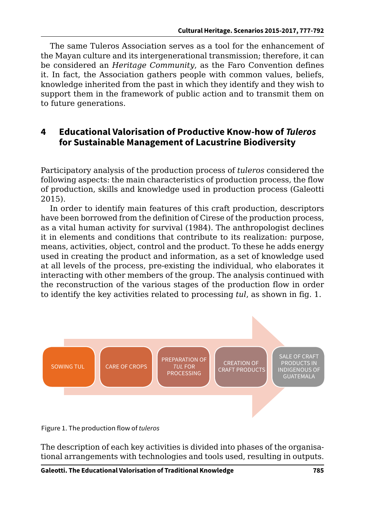The same Tuleros Association serves as a tool for the enhancement of the Mayan culture and its intergenerational transmission; therefore, it can be considered an *Heritage Community*, as the Faro Convention defines it. In fact, the Association gathers people with common values, beliefs, knowledge inherited from the past in which they identify and they wish to support them in the framework of public action and to transmit them on to future generations.

### **4 Educational Valorisation of Productive Know-how of** *Tuleros* **for Sustainable Management of Lacustrine Biodiversity**

Participatory analysis of the production process of *tuleros* considered the following aspects: the main characteristics of production process, the flow of production, skills and knowledge used in production process (Galeotti 2015).

In order to identify main features of this craft production, descriptors have been borrowed from the definition of Cirese of the production process, as a vital human activity for survival (1984). The anthropologist declines it in elements and conditions that contribute to its realization: purpose, means, activities, object, control and the product. To these he adds energy used in creating the product and information, as a set of knowledge used at all levels of the process, pre-existing the individual, who elaborates it interacting with other members of the group. The analysis continued with the reconstruction of the various stages of the production flow in order to identify the key activities related to processing *tul*, as shown in fig. 1.



Figure 1. The production flow of *tuleros*

The description of each key activities is divided into phases of the organisational arrangements with technologies and tools used, resulting in outputs.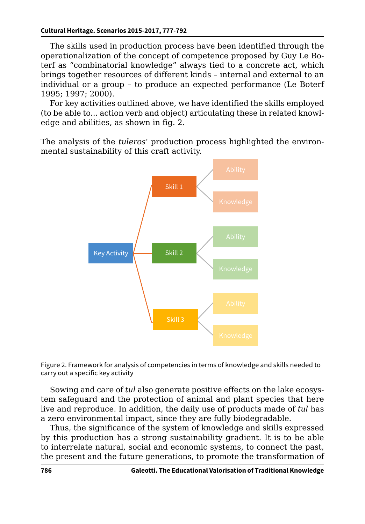The skills used in production process have been identified through the operationalization of the concept of competence proposed by Guy Le Boterf as "combinatorial knowledge" always tied to a concrete act, which brings together resources of different kinds – internal and external to an individual or a group – to produce an expected performance (Le Boterf 1995; 1997; 2000).

For key activities outlined above, we have identified the skills employed (to be able to... action verb and object) articulating these in related knowledge and abilities, as shown in fig. 2.

The analysis of the *tuleros*' production process highlighted the environmental sustainability of this craft activity.





Sowing and care of *tul* also generate positive effects on the lake ecosystem safeguard and the protection of animal and plant species that here live and reproduce. In addition, the daily use of products made of *tul* has a zero environmental impact, since they are fully biodegradable.

Thus, the significance of the system of knowledge and skills expressed by this production has a strong sustainability gradient. It is to be able to interrelate natural, social and economic systems, to connect the past, the present and the future generations, to promote the transformation of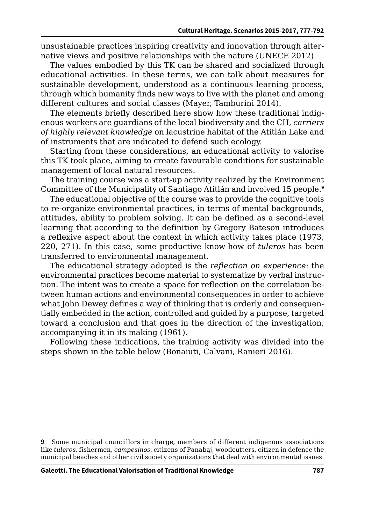unsustainable practices inspiring creativity and innovation through alternative views and positive relationships with the nature (UNECE 2012).

The values embodied by this TK can be shared and socialized through educational activities. In these terms, we can talk about measures for sustainable development, understood as a continuous learning process, through which humanity finds new ways to live with the planet and among different cultures and social classes (Mayer, Tamburini 2014).

The elements briefly described here show how these traditional indigenous workers are guardians of the local biodiversity and the CH, *carriers of highly relevant knowledge* on lacustrine habitat of the Atitlán Lake and of instruments that are indicated to defend such ecology.

Starting from these considerations, an educational activity to valorise this TK took place, aiming to create favourable conditions for sustainable management of local natural resources.

The training course was a start-up activity realized by the Environment Committee of the Municipality of Santiago Atitlán and involved 15 people.**<sup>9</sup>**

The educational objective of the course was to provide the cognitive tools to re-organize environmental practices, in terms of mental backgrounds, attitudes, ability to problem solving. It can be defined as a second-level learning that according to the definition by Gregory Bateson introduces a reflexive aspect about the context in which activity takes place (1973, 220, 271). In this case, some productive know-how of *tuleros* has been transferred to environmental management.

The educational strategy adopted is the *reflection on experience*: the environmental practices become material to systematize by verbal instruction. The intent was to create a space for reflection on the correlation between human actions and environmental consequences in order to achieve what John Dewey defines a way of thinking that is orderly and consequentially embedded in the action, controlled and guided by a purpose, targeted toward a conclusion and that goes in the direction of the investigation, accompanying it in its making (1961).

Following these indications, the training activity was divided into the steps shown in the table below (Bonaiuti, Calvani, Ranieri 2016).

**<sup>9</sup>** Some municipal councillors in charge, members of different indigenous associations like *tuleros*, fishermen, *campesinos*, citizens of Panabaj, woodcutters, citizen in defence the municipal beaches and other civil society organizations that deal with environmental issues.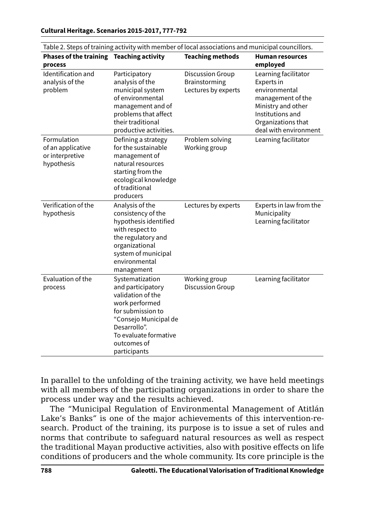| <b>Phases of the training</b><br>process                          | Teaching activity                                                                                                                                                                                 | <b>Teaching methods</b>                                         | Human resources<br>employed                                                                                                                                       |
|-------------------------------------------------------------------|---------------------------------------------------------------------------------------------------------------------------------------------------------------------------------------------------|-----------------------------------------------------------------|-------------------------------------------------------------------------------------------------------------------------------------------------------------------|
| <b>Identification and</b><br>analysis of the<br>problem           | Participatory<br>analysis of the<br>municipal system<br>of environmental<br>management and of<br>problems that affect<br>their traditional<br>productive activities.                              | <b>Discussion Group</b><br>Brainstorming<br>Lectures by experts | Learning facilitator<br>Experts in<br>environmental<br>management of the<br>Ministry and other<br>Institutions and<br>Organizations that<br>deal with environment |
| Formulation<br>of an applicative<br>or interpretive<br>hypothesis | Defining a strategy<br>for the sustainable<br>management of<br>natural resources<br>starting from the<br>ecological knowledge<br>of traditional<br>producers                                      | Problem solving<br>Working group                                | Learning facilitator                                                                                                                                              |
| Verification of the<br>hypothesis                                 | Analysis of the<br>consistency of the<br>hypothesis identified<br>with respect to<br>the regulatory and<br>organizational<br>system of municipal<br>environmental<br>management                   | Lectures by experts                                             | Experts in law from the<br>Municipality<br>Learning facilitator                                                                                                   |
| Evaluation of the<br>process                                      | Systematization<br>and participatory<br>validation of the<br>work performed<br>for submission to<br>"Consejo Municipal de<br>Desarrollo".<br>To evaluate formative<br>outcomes of<br>participants | Working group<br><b>Discussion Group</b>                        | Learning facilitator                                                                                                                                              |

Table 2. Steps of training activity with member of local associations and municipal councillors.

In parallel to the unfolding of the training activity, we have held meetings with all members of the participating organizations in order to share the process under way and the results achieved.

The "Municipal Regulation of Environmental Management of Atitlán Lake's Banks*"* is one of the major achievements of this intervention-research. Product of the training, its purpose is to issue a set of rules and norms that contribute to safeguard natural resources as well as respect the traditional Mayan productive activities, also with positive effects on life conditions of producers and the whole community. Its core principle is the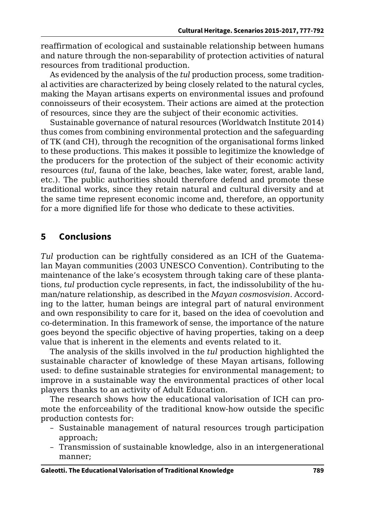reaffirmation of ecological and sustainable relationship between humans and nature through the non-separability of protection activities of natural resources from traditional production.

As evidenced by the analysis of the *tul* production process, some traditional activities are characterized by being closely related to the natural cycles, making the Mayan artisans experts on environmental issues and profound connoisseurs of their ecosystem. Their actions are aimed at the protection of resources, since they are the subject of their economic activities.

Sustainable governance of natural resources (Worldwatch Institute 2014) thus comes from combining environmental protection and the safeguarding of TK (and CH), through the recognition of the organisational forms linked to these productions. This makes it possible to legitimize the knowledge of the producers for the protection of the subject of their economic activity resources (*tul*, fauna of the lake, beaches, lake water, forest, arable land, etc.). The public authorities should therefore defend and promote these traditional works, since they retain natural and cultural diversity and at the same time represent economic income and, therefore, an opportunity for a more dignified life for those who dedicate to these activities.

# **5 Conclusions**

*Tul* production can be rightfully considered as an ICH of the Guatemalan Mayan communities (2003 UNESCO Convention). Contributing to the maintenance of the lake's ecosystem through taking care of these plantations, *tul* production cycle represents, in fact, the indissolubility of the human/nature relationship, as described in the *Mayan cosmosvision*. According to the latter, human beings are integral part of natural environment and own responsibility to care for it, based on the idea of coevolution and co-determination. In this framework of sense, the importance of the nature goes beyond the specific objective of having properties, taking on a deep value that is inherent in the elements and events related to it.

The analysis of the skills involved in the *tul* production highlighted the sustainable character of knowledge of these Mayan artisans, following used: to define sustainable strategies for environmental management; to improve in a sustainable way the environmental practices of other local players thanks to an activity of Adult Education.

The research shows how the educational valorisation of ICH can promote the enforceability of the traditional know-how outside the specific production contests for:

- Sustainable management of natural resources trough participation approach;
- Transmission of sustainable knowledge, also in an intergenerational manner;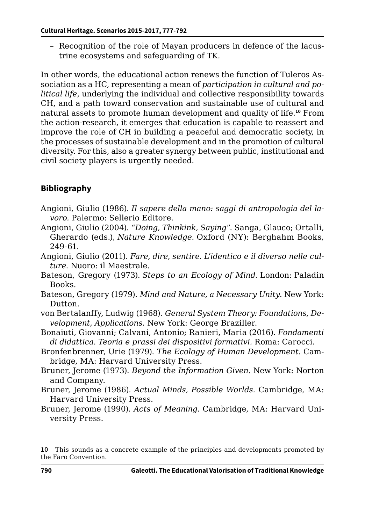– Recognition of the role of Mayan producers in defence of the lacustrine ecosystems and safeguarding of TK.

In other words, the educational action renews the function of Tuleros Association as a HC, representing a mean of *participation in cultural and political life*, underlying the individual and collective responsibility towards CH, and a path toward conservation and sustainable use of cultural and natural assets to promote human development and quality of life.**<sup>10</sup>** From the action-research, it emerges that education is capable to reassert and improve the role of CH in building a peaceful and democratic society, in the processes of sustainable development and in the promotion of cultural diversity. For this, also a greater synergy between public, institutional and civil society players is urgently needed.

# **Bibliography**

- Angioni, Giulio (1986). *Il sapere della mano: saggi di antropologia del lavoro.* Palermo: Sellerio Editore.
- Angioni, Giulio (2004). "*Doing, Thinkink, Saying*". Sanga, Glauco; Ortalli, Gherardo (eds.), *Nature Knowledge*. Oxford (NY): Berghahm Books, 249-61.
- Angioni, Giulio (2011). *Fare, dire, sentire. L'identico e il diverso nelle culture*. Nuoro: il Maestrale.
- Bateson, Gregory (1973). *Steps to an Ecology of Mind.* London: Paladin Books.
- Bateson, Gregory (1979). *Mind and Nature, a Necessary Unity*. New York: Dutton.
- von Bertalanffy, Ludwig (1968). *General System Theory: Foundations, Development, Applications*. New York: George Braziller.
- Bonaiuti, Giovanni; Calvani, Antonio; Ranieri, Maria (2016). *Fondamenti di didattica. Teoria e prassi dei dispositivi formativi.* Roma: Carocci.
- Bronfenbrenner, Urie (1979). *The Ecology of Human Development*. Cambridge, MA: Harvard University Press.
- Bruner, Jerome (1973). *Beyond the Information Given*. New York: Norton and Company.
- Bruner, Jerome (1986). *Actual Minds, Possible Worlds.* Cambridge, MA: Harvard University Press.
- Bruner, Jerome (1990). *Acts of Meaning*. Cambridge, MA: Harvard University Press.

**<sup>10</sup>** This sounds as a concrete example of the principles and developments promoted by the Faro Convention.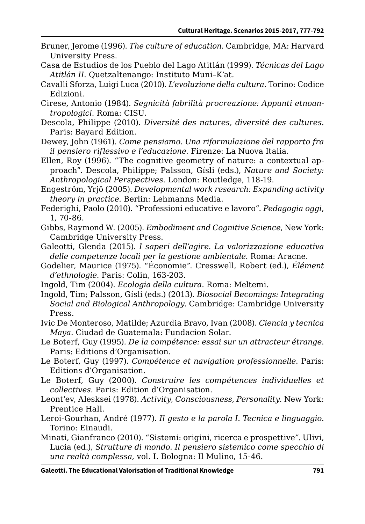- Bruner, Jerome (1996). *The culture of education.* Cambridge, MA: Harvard University Press.
- Casa de Estudios de los Pueblo del Lago Atitlán (1999). *Técnicas del Lago Atitlán II*. Quetzaltenango: Instituto Muni–K'at.
- Cavalli Sforza, Luigi Luca (2010). *L'evoluzione della cultura*. Torino: Codice Edizioni.
- Cirese, Antonio (1984). *Segnicità fabrilità procreazione: Appunti etnoantropologici*. Roma: CISU.
- Descola, Philippe (2010). *Diversité des natures, diversité des cultures.*  Paris: Bayard Edition.
- Dewey, John (1961). *Come pensiamo. Una riformulazione del rapporto fra il pensiero riflessivo e l'educazione*. Firenze: La Nuova Italia.
- Ellen, Roy (1996). "The cognitive geometry of nature: a contextual approach". Descola, Philippe; Palsson, Gísli (eds.), *Nature and Society: Anthropological Perspectives*. London: Routledge, 118-19.
- Engeström, Yrjö (2005). *Developmental work research: Expanding activity theory in practice*. Berlin: Lehmanns Media.

Federighi, Paolo (2010). "Professioni educative e lavoro*"*. *Pedagogia oggi*, 1, 70-86.

- Gibbs, Raymond W. (2005). *Embodiment and Cognitive Science*, New York: Cambridge University Press.
- Galeotti, Glenda (2015). *I saperi dell'agire. La valorizzazione educativa delle competenze locali per la gestione ambientale.* Roma: Aracne.
- Godelier, Maurice (1975). "Économie*"*. Cresswell, Robert (ed.), *Élément d'ethnologie*. Paris: Colin, 163-203.
- Ingold, Tim (2004). *Ecologia della cultura*. Roma: Meltemi.
- Ingold, Tim; Palsson, Gísli (eds.) (2013). *Biosocial Becomings: Integrating Social and Biological Anthropology*. Cambridge: Cambridge University Press.
- Ivic De Monteroso, Matilde; Azurdia Bravo, Ivan (2008). *Ciencia y tecnica Maya*. Ciudad de Guatemala: Fundacion Solar.
- Le Boterf, Guy (1995). *De la compétence: essai sur un attracteur étrange*. Paris: Editions d'Organisation.
- Le Boterf, Guy (1997). *Compétence et navigation professionnelle*. Paris: Editions d'Organisation.
- Le Boterf, Guy (2000). *Construire les compétences individuelles et collectives*. Paris: Edition d'Organisation.
- Leont'ev, Alesksei (1978). *Activity, Consciousness, Personality.* New York: Prentice Hall*.*
- Leroi-Gourhan, André (1977). *Il gesto e la parola I. Tecnica e linguaggio*. Torino: Einaudi.
- Minati, Gianfranco (2010). "Sistemi: origini, ricerca e prospettive*"*. Ulivi, Lucia (ed.), *Strutture di mondo. Il pensiero sistemico come specchio di una realtà complessa*, vol. I. Bologna: Il Mulino, 15-46.